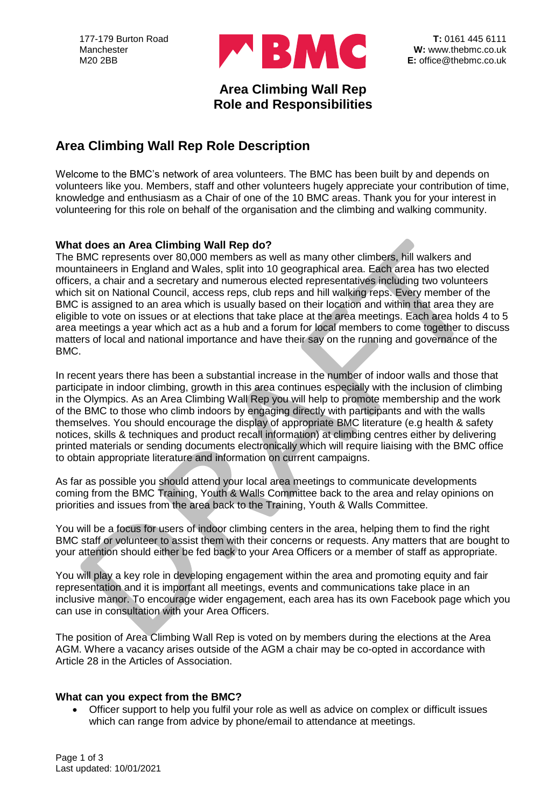

## **Area Climbing Wall Rep Role and Responsibilities**

# **Area Climbing Wall Rep Role Description**

Welcome to the BMC's network of area volunteers. The BMC has been built by and depends on volunteers like you. Members, staff and other volunteers hugely appreciate your contribution of time, knowledge and enthusiasm as a Chair of one of the 10 BMC areas. Thank you for your interest in volunteering for this role on behalf of the organisation and the climbing and walking community.

### **What does an Area Climbing Wall Rep do?**

The BMC represents over 80,000 members as well as many other climbers, hill walkers and mountaineers in England and Wales, split into 10 geographical area. Each area has two elected officers, a chair and a secretary and numerous elected representatives including two volunteers which sit on National Council, access reps, club reps and hill walking reps. Every member of the BMC is assigned to an area which is usually based on their location and within that area they are eligible to vote on issues or at elections that take place at the area meetings. Each area holds 4 to 5 area meetings a year which act as a hub and a forum for local members to come together to discuss matters of local and national importance and have their say on the running and governance of the BMC.

In recent years there has been a substantial increase in the number of indoor walls and those that participate in indoor climbing, growth in this area continues especially with the inclusion of climbing in the Olympics. As an Area Climbing Wall Rep you will help to promote membership and the work of the BMC to those who climb indoors by engaging directly with participants and with the walls themselves. You should encourage the display of appropriate BMC literature (e.g health & safety notices, skills & techniques and product recall information) at climbing centres either by delivering printed materials or sending documents electronically which will require liaising with the BMC office to obtain appropriate literature and information on current campaigns.

As far as possible you should attend your local area meetings to communicate developments coming from the BMC Training, Youth & Walls Committee back to the area and relay opinions on priorities and issues from the area back to the Training, Youth & Walls Committee.

You will be a focus for users of indoor climbing centers in the area, helping them to find the right BMC staff or volunteer to assist them with their concerns or requests. Any matters that are bought to your attention should either be fed back to your Area Officers or a member of staff as appropriate.

You will play a key role in developing engagement within the area and promoting equity and fair representation and it is important all meetings, events and communications take place in an inclusive manor. To encourage wider engagement, each area has its own Facebook page which you can use in consultation with your Area Officers.

The position of Area Climbing Wall Rep is voted on by members during the elections at the Area AGM. Where a vacancy arises outside of the AGM a chair may be co-opted in accordance with Article 28 in the Articles of Association.

#### **What can you expect from the BMC?**

• Officer support to help you fulfil your role as well as advice on complex or difficult issues which can range from advice by phone/email to attendance at meetings.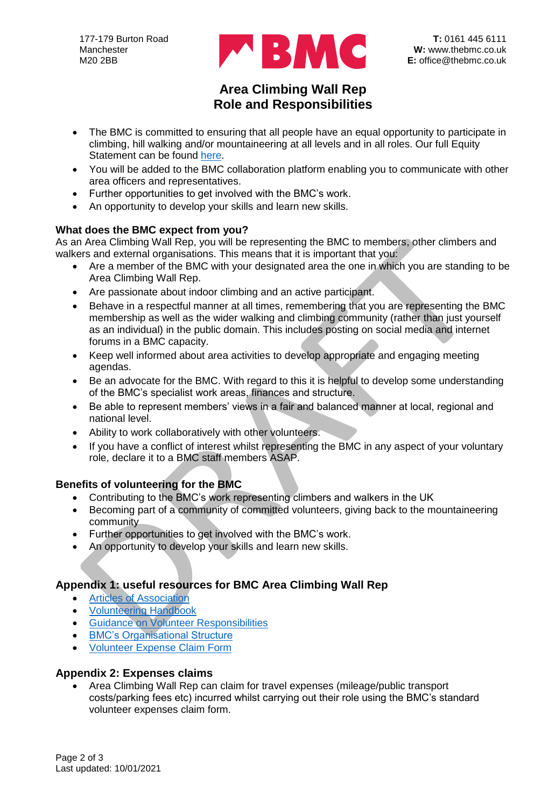

## **Area Climbing Wall Rep Role and Responsibilities**

- The BMC is committed to ensuring that all people have an equal opportunity to participate in climbing, hill walking and/or mountaineering at all levels and in all roles. Our full Equity Statement can be found [here.](https://www.thebmc.co.uk/bmc-equity-statement)
- You will be added to the BMC collaboration platform enabling you to communicate with other area officers and representatives.
- Further opportunities to get involved with the BMC's work.
- An opportunity to develop your skills and learn new skills.

## **What does the BMC expect from you?**

As an Area Climbing Wall Rep, you will be representing the BMC to members, other climbers and walkers and external organisations. This means that it is important that you:

- Are a member of the BMC with your designated area the one in which you are standing to be Area Climbing Wall Rep.
- Are passionate about indoor climbing and an active participant.
- Behave in a respectful manner at all times, remembering that you are representing the BMC membership as well as the wider walking and climbing community (rather than just yourself as an individual) in the public domain. This includes posting on social media and internet forums in a BMC capacity.
- Keep well informed about area activities to develop appropriate and engaging meeting agendas.
- Be an advocate for the BMC. With regard to this it is helpful to develop some understanding of the BMC's specialist work areas, finances and structure.
- Be able to represent members' views in a fair and balanced manner at local, regional and national level.
- Ability to work collaboratively with other volunteers.
- If you have a conflict of interest whilst representing the BMC in any aspect of your voluntary role, declare it to a BMC staff members ASAP.

## **Benefits of volunteering for the BMC**

- Contributing to the BMC's work representing climbers and walkers in the UK
- Becoming part of a community of committed volunteers, giving back to the mountaineering community
- Further opportunities to get involved with the BMC's work.
- An opportunity to develop your skills and learn new skills.

## **Appendix 1: useful resources for BMC Area Climbing Wall Rep**

- **[Articles of Association](https://www.thebmc.co.uk/Handlers/DownloadHandler.ashx?id=1641)**
- [Volunteering Handbook](https://www.thebmc.co.uk/media/files/Volunteer%20Handbook.pdf)
- [Guidance on Volunteer Responsibilities](https://www.thebmc.co.uk/Handlers/DownloadHandler.ashx?id=1763)
- **[BMC's Organisational Structure](https://www.thebmc.co.uk/media/files/BMC%20organisational%20structure%20Final-AW%2011Sep2020.pdf)**
- [Volunteer Expense Claim Form](https://www.thebmc.co.uk/media/files/Volunteers/VolunteerExpenseClaim.xlsx)

#### **Appendix 2: Expenses claims**

• Area Climbing Wall Rep can claim for travel expenses (mileage/public transport costs/parking fees etc) incurred whilst carrying out their role using the BMC's standard volunteer expenses claim form.